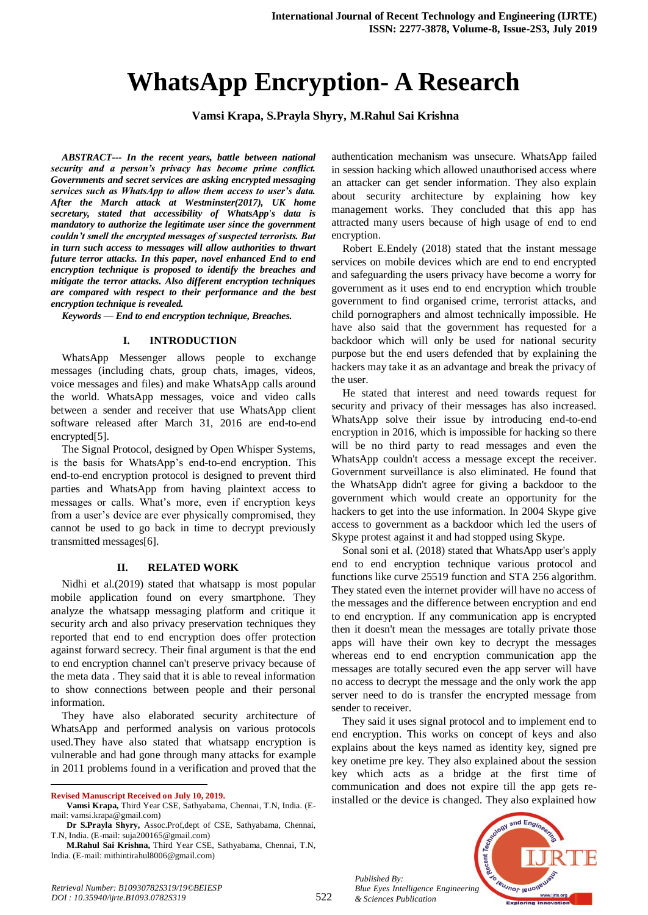# **WhatsApp Encryption- A Research**

**Vamsi Krapa, S.Prayla Shyry, M.Rahul Sai Krishna**

*ABSTRACT--- In the recent years, battle between national security and a person's privacy has become prime conflict. Governments and secret services are asking encrypted messaging services such as WhatsApp to allow them access to user's data. After the March attack at Westminster(2017), UK home secretary, stated that accessibility of WhatsApp's data is mandatory to authorize the legitimate user since the government couldn't smell the encrypted messages of suspected terrorists. But in turn such access to messages will allow authorities to thwart future terror attacks. In this paper, novel enhanced End to end encryption technique is proposed to identify the breaches and mitigate the terror attacks. Also different encryption techniques are compared with respect to their performance and the best encryption technique is revealed.*

*Keywords — End to end encryption technique, Breaches.*

### **I. INTRODUCTION**

WhatsApp Messenger allows people to exchange messages (including chats, group chats, images, videos, voice messages and files) and make WhatsApp calls around the world. WhatsApp messages, voice and video calls between a sender and receiver that use WhatsApp client software released after March 31, 2016 are end-to-end encrypted[5].

The Signal Protocol, designed by Open Whisper Systems, is the basis for WhatsApp's end-to-end encryption. This end-to-end encryption protocol is designed to prevent third parties and WhatsApp from having plaintext access to messages or calls. What's more, even if encryption keys from a user's device are ever physically compromised, they cannot be used to go back in time to decrypt previously transmitted messages[6].

### **II. RELATED WORK**

Nidhi et al.(2019) stated that whatsapp is most popular mobile application found on every smartphone. They analyze the whatsapp messaging platform and critique it security arch and also privacy preservation techniques they reported that end to end encryption does offer protection against forward secrecy. Their final argument is that the end to end encryption channel can't preserve privacy because of the meta data . They said that it is able to reveal information to show connections between people and their personal information.

They have also elaborated security architecture of WhatsApp and performed analysis on various protocols used.They have also stated that whatsapp encryption is vulnerable and had gone through many attacks for example in 2011 problems found in a verification and proved that the

 $\overline{a}$ 

authentication mechanism was unsecure. WhatsApp failed in session hacking which allowed unauthorised access where an attacker can get sender information. They also explain about security architecture by explaining how key management works. They concluded that this app has attracted many users because of high usage of end to end encryption.

Robert E.Endely (2018) stated that the instant message services on mobile devices which are end to end encrypted and safeguarding the users privacy have become a worry for government as it uses end to end encryption which trouble government to find organised crime, terrorist attacks, and child pornographers and almost technically impossible. He have also said that the government has requested for a backdoor which will only be used for national security purpose but the end users defended that by explaining the hackers may take it as an advantage and break the privacy of the user.

He stated that interest and need towards request for security and privacy of their messages has also increased. WhatsApp solve their issue by introducing end-to-end encryption in 2016, which is impossible for hacking so there will be no third party to read messages and even the WhatsApp couldn't access a message except the receiver. Government surveillance is also eliminated. He found that the WhatsApp didn't agree for giving a backdoor to the government which would create an opportunity for the hackers to get into the use information. In 2004 Skype give access to government as a backdoor which led the users of Skype protest against it and had stopped using Skype.

Sonal soni et al. (2018) stated that WhatsApp user's apply end to end encryption technique various protocol and functions like curve 25519 function and STA 256 algorithm. They stated even the internet provider will have no access of the messages and the difference between encryption and end to end encryption. If any communication app is encrypted then it doesn't mean the messages are totally private those apps will have their own key to decrypt the messages whereas end to end encryption communication app the messages are totally secured even the app server will have no access to decrypt the message and the only work the app server need to do is transfer the encrypted message from sender to receiver.

They said it uses signal protocol and to implement end to end encryption. This works on concept of keys and also explains about the keys named as identity key, signed pre key onetime pre key. They also explained about the session key which acts as a bridge at the first time of communication and does not expire till the app gets reinstalled or the device is changed. They also explained how

*Published By: Blue Eyes Intelligence Engineering & Sciences Publication* 



**Revised Manuscript Received on July 10, 2019.**

**Vamsi Krapa,** Third Year CSE, Sathyabama, Chennai, T.N, India. (Email: vamsi.krapa@gmail.com)

**Dr S.Prayla Shyry,** Assoc.Prof,dept of CSE, Sathyabama, Chennai, T.N, India. (E-mail: suja200165@gmail.com)

**M.Rahul Sai Krishna,** Third Year CSE, Sathyabama, Chennai, T.N, India. (E-mail: mithintirahul8006@gmail.com)